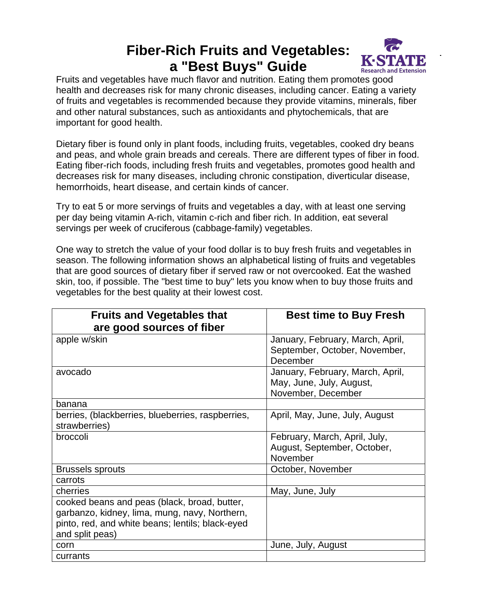## **Fiber-Rich Fruits and Vegetables: a "Best Buys" Guide**



Fruits and vegetables have much flavor and nutrition. Eating them promotes good health and decreases risk for many chronic diseases, including cancer. Eating a variety of fruits and vegetables is recommended because they provide vitamins, minerals, fiber and other natural substances, such as antioxidants and phytochemicals, that are important for good health.

Dietary fiber is found only in plant foods, including fruits, vegetables, cooked dry beans and peas, and whole grain breads and cereals. There are different types of fiber in food. Eating fiber-rich foods, including fresh fruits and vegetables, promotes good health and decreases risk for many diseases, including chronic constipation, diverticular disease, hemorrhoids, heart disease, and certain kinds of cancer.

Try to eat 5 or more servings of fruits and vegetables a day, with at least one serving per day being vitamin A-rich, vitamin c-rich and fiber rich. In addition, eat several servings per week of cruciferous (cabbage-family) vegetables.

One way to stretch the value of your food dollar is to buy fresh fruits and vegetables in season. The following information shows an alphabetical listing of fruits and vegetables that are good sources of dietary fiber if served raw or not overcooked. Eat the washed skin, too, if possible. The "best time to buy" lets you know when to buy those fruits and vegetables for the best quality at their lowest cost.

| <b>Fruits and Vegetables that</b><br>are good sources of fiber                                                                                                       | <b>Best time to Buy Fresh</b>                                                      |
|----------------------------------------------------------------------------------------------------------------------------------------------------------------------|------------------------------------------------------------------------------------|
| apple w/skin                                                                                                                                                         | January, February, March, April,<br>September, October, November,<br>December      |
| avocado                                                                                                                                                              | January, February, March, April,<br>May, June, July, August,<br>November, December |
| banana                                                                                                                                                               |                                                                                    |
| berries, (blackberries, blueberries, raspberries,<br>strawberries)                                                                                                   | April, May, June, July, August                                                     |
| broccoli                                                                                                                                                             | February, March, April, July,<br>August, September, October,<br>November           |
| <b>Brussels sprouts</b>                                                                                                                                              | October, November                                                                  |
| carrots                                                                                                                                                              |                                                                                    |
| cherries                                                                                                                                                             | May, June, July                                                                    |
| cooked beans and peas (black, broad, butter,<br>garbanzo, kidney, lima, mung, navy, Northern,<br>pinto, red, and white beans; lentils; black-eyed<br>and split peas) |                                                                                    |
| corn                                                                                                                                                                 | June, July, August                                                                 |
| currants                                                                                                                                                             |                                                                                    |